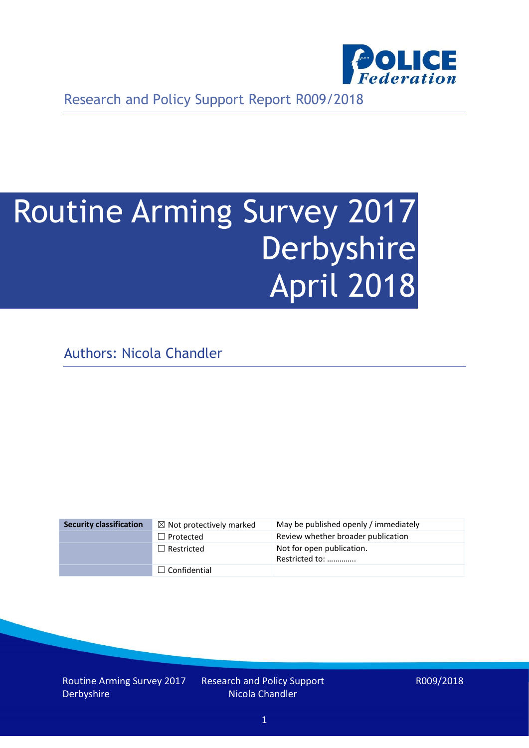

Research and Policy Support Report R009/2018

# Routine Arming Survey 2017 Derbyshire April 2018

Authors: Nicola Chandler

| <b>Security classification</b> | $\boxtimes$ Not protectively marked | May be published openly / immediately       |
|--------------------------------|-------------------------------------|---------------------------------------------|
|                                | $\Box$ Protected                    | Review whether broader publication          |
|                                | $\Box$ Restricted                   | Not for open publication.<br>Restricted to: |
|                                | $\Box$ Confidential                 |                                             |

Routine Arming Survey 2017 Derbyshire

Research and Policy Support Nicola Chandler

R009/2018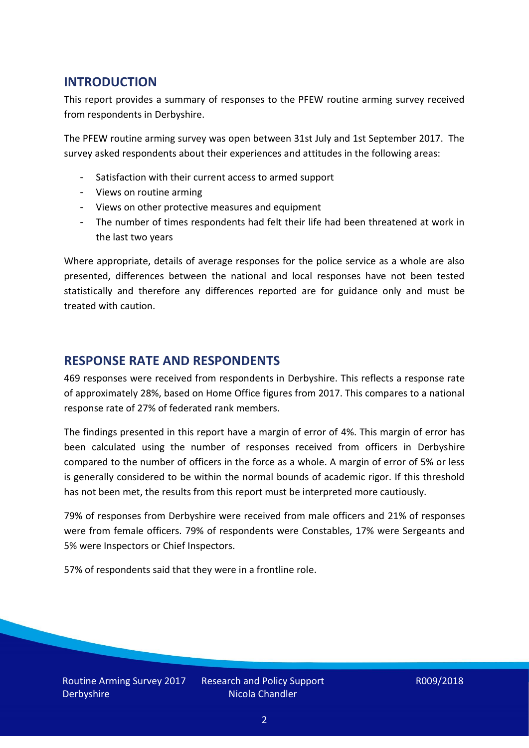## **INTRODUCTION**

This report provides a summary of responses to the PFEW routine arming survey received from respondents in Derbyshire.

The PFEW routine arming survey was open between 31st July and 1st September 2017. The survey asked respondents about their experiences and attitudes in the following areas:

- Satisfaction with their current access to armed support
- Views on routine arming
- Views on other protective measures and equipment
- The number of times respondents had felt their life had been threatened at work in the last two years

Where appropriate, details of average responses for the police service as a whole are also presented, differences between the national and local responses have not been tested statistically and therefore any differences reported are for guidance only and must be treated with caution.

### **RESPONSE RATE AND RESPONDENTS**

469 responses were received from respondents in Derbyshire. This reflects a response rate of approximately 28%, based on Home Office figures from 2017. This compares to a national response rate of 27% of federated rank members.

The findings presented in this report have a margin of error of 4%. This margin of error has been calculated using the number of responses received from officers in Derbyshire compared to the number of officers in the force as a whole. A margin of error of 5% or less is generally considered to be within the normal bounds of academic rigor. If this threshold has not been met, the results from this report must be interpreted more cautiously.

79% of responses from Derbyshire were received from male officers and 21% of responses were from female officers. 79% of respondents were Constables, 17% were Sergeants and 5% were Inspectors or Chief Inspectors.

57% of respondents said that they were in a frontline role.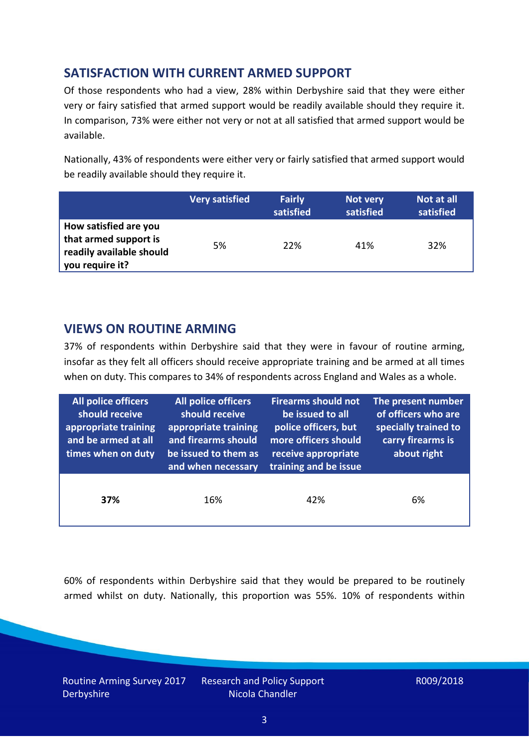## **SATISFACTION WITH CURRENT ARMED SUPPORT**

Of those respondents who had a view, 28% within Derbyshire said that they were either very or fairy satisfied that armed support would be readily available should they require it. In comparison, 73% were either not very or not at all satisfied that armed support would be available.

Nationally, 43% of respondents were either very or fairly satisfied that armed support would be readily available should they require it.

|                                                                                               | <b>Very satisfied</b> | <b>Fairly</b><br>satisfied | Not very<br>satisfied | Not at all<br>satisfied |
|-----------------------------------------------------------------------------------------------|-----------------------|----------------------------|-----------------------|-------------------------|
| How satisfied are you<br>that armed support is<br>readily available should<br>you require it? | 5%                    | 22%                        | 41%                   | 32%                     |

### **VIEWS ON ROUTINE ARMING**

37% of respondents within Derbyshire said that they were in favour of routine arming, insofar as they felt all officers should receive appropriate training and be armed at all times when on duty. This compares to 34% of respondents across England and Wales as a whole.

| All police officers<br>should receive<br>appropriate training<br>and be armed at all<br>times when on duty | All police officers<br>should receive<br>appropriate training<br>and firearms should<br>be issued to them as<br>and when necessary | <b>Firearms should not</b><br>be issued to all<br>police officers, but<br>more officers should<br>receive appropriate<br>training and be issue | The present number<br>of officers who are<br>specially trained to<br>carry firearms is<br>about right |  |
|------------------------------------------------------------------------------------------------------------|------------------------------------------------------------------------------------------------------------------------------------|------------------------------------------------------------------------------------------------------------------------------------------------|-------------------------------------------------------------------------------------------------------|--|
| 37%                                                                                                        | 16%                                                                                                                                | 42%                                                                                                                                            | 6%                                                                                                    |  |

60% of respondents within Derbyshire said that they would be prepared to be routinely armed whilst on duty. Nationally, this proportion was 55%. 10% of respondents within

Routine Arming Survey 2017 **Derbyshire** 

Research and Policy Support Nicola Chandler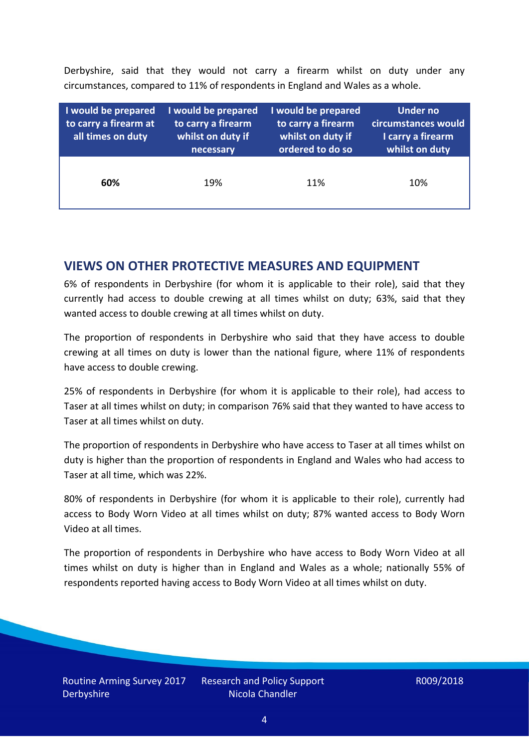Derbyshire, said that they would not carry a firearm whilst on duty under any circumstances, compared to 11% of respondents in England and Wales as a whole.

| I would be prepared<br>to carry a firearm at<br>all times on duty | I would be prepared<br>to carry a firearm<br>whilst on duty if<br>necessary | I would be prepared<br>to carry a firearm<br>whilst on duty if<br>ordered to do so | Under no<br>circumstances would<br>I carry a firearm<br>whilst on duty |
|-------------------------------------------------------------------|-----------------------------------------------------------------------------|------------------------------------------------------------------------------------|------------------------------------------------------------------------|
| 60%                                                               | 19%                                                                         | 11%                                                                                | 10%                                                                    |

### **VIEWS ON OTHER PROTECTIVE MEASURES AND EQUIPMENT**

6% of respondents in Derbyshire (for whom it is applicable to their role), said that they currently had access to double crewing at all times whilst on duty; 63%, said that they wanted access to double crewing at all times whilst on duty.

The proportion of respondents in Derbyshire who said that they have access to double crewing at all times on duty is lower than the national figure, where 11% of respondents have access to double crewing.

25% of respondents in Derbyshire (for whom it is applicable to their role), had access to Taser at all times whilst on duty; in comparison 76% said that they wanted to have access to Taser at all times whilst on duty.

The proportion of respondents in Derbyshire who have access to Taser at all times whilst on duty is higher than the proportion of respondents in England and Wales who had access to Taser at all time, which was 22%.

80% of respondents in Derbyshire (for whom it is applicable to their role), currently had access to Body Worn Video at all times whilst on duty; 87% wanted access to Body Worn Video at all times.

The proportion of respondents in Derbyshire who have access to Body Worn Video at all times whilst on duty is higher than in England and Wales as a whole; nationally 55% of respondents reported having access to Body Worn Video at all times whilst on duty.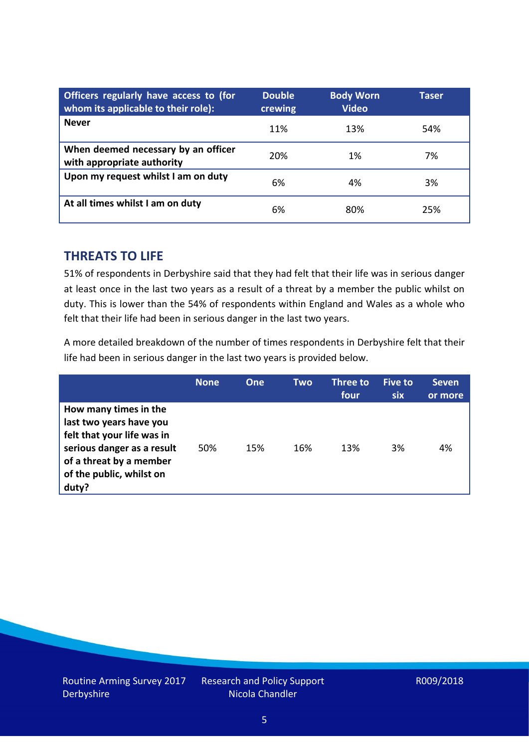| Officers regularly have access to (for<br>whom its applicable to their role): | <b>Double</b><br>crewing | <b>Body Worn</b><br><b>Video</b> | Taser |
|-------------------------------------------------------------------------------|--------------------------|----------------------------------|-------|
| <b>Never</b>                                                                  | 11%                      | 13%                              | 54%   |
| When deemed necessary by an officer<br>with appropriate authority             | 20%                      | 1%                               | 7%    |
| Upon my request whilst I am on duty                                           | 6%                       | 4%                               | 3%    |
| At all times whilst I am on duty                                              | 6%                       | 80%                              | 25%   |

### **THREATS TO LIFE**

51% of respondents in Derbyshire said that they had felt that their life was in serious danger at least once in the last two years as a result of a threat by a member the public whilst on duty. This is lower than the 54% of respondents within England and Wales as a whole who felt that their life had been in serious danger in the last two years.

A more detailed breakdown of the number of times respondents in Derbyshire felt that their life had been in serious danger in the last two years is provided below.

|                                                                                                                                                                              | <b>None</b> | <b>One</b> | Two | Three to<br>four | Five to<br>six | <b>Seven</b><br>or more |
|------------------------------------------------------------------------------------------------------------------------------------------------------------------------------|-------------|------------|-----|------------------|----------------|-------------------------|
| How many times in the<br>last two years have you<br>felt that your life was in<br>serious danger as a result<br>of a threat by a member<br>of the public, whilst on<br>duty? | 50%         | 15%        | 16% | 13%              | 3%             | 4%                      |

Research and Policy Support Nicola Chandler